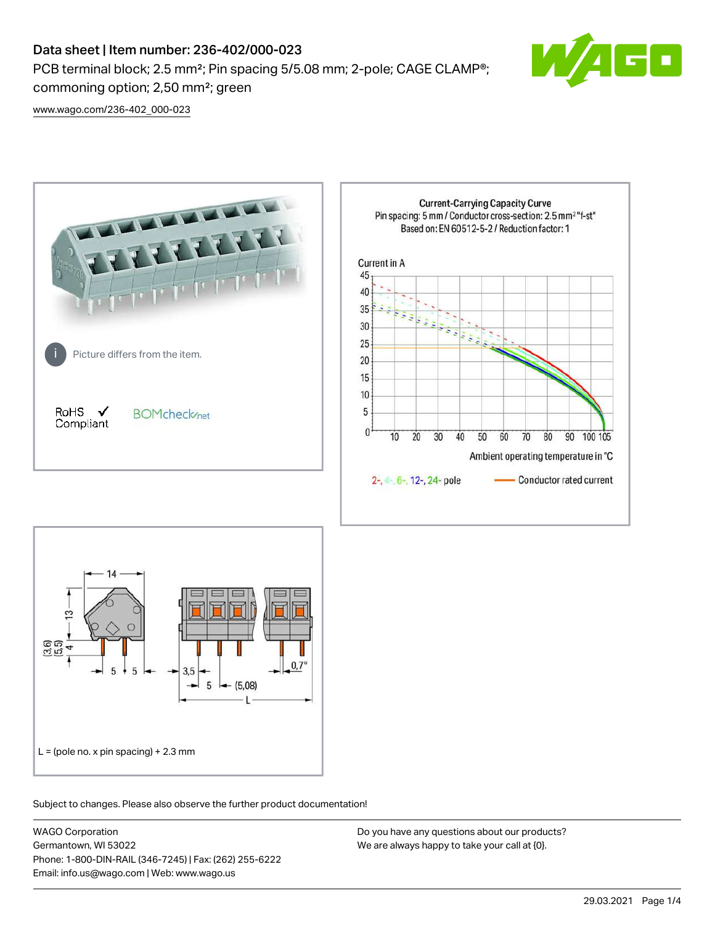## Data sheet | Item number: 236-402/000-023

PCB terminal block; 2.5 mm<sup>2</sup>; Pin spacing 5/5.08 mm; 2-pole; CAGE CLAMP<sup>®</sup>; commoning option; 2,50 mm²; green



[www.wago.com/236-402\\_000-023](http://www.wago.com/236-402_000-023)





Subject to changes. Please also observe the further product documentation!

WAGO Corporation Germantown, WI 53022 Phone: 1-800-DIN-RAIL (346-7245) | Fax: (262) 255-6222 Email: info.us@wago.com | Web: www.wago.us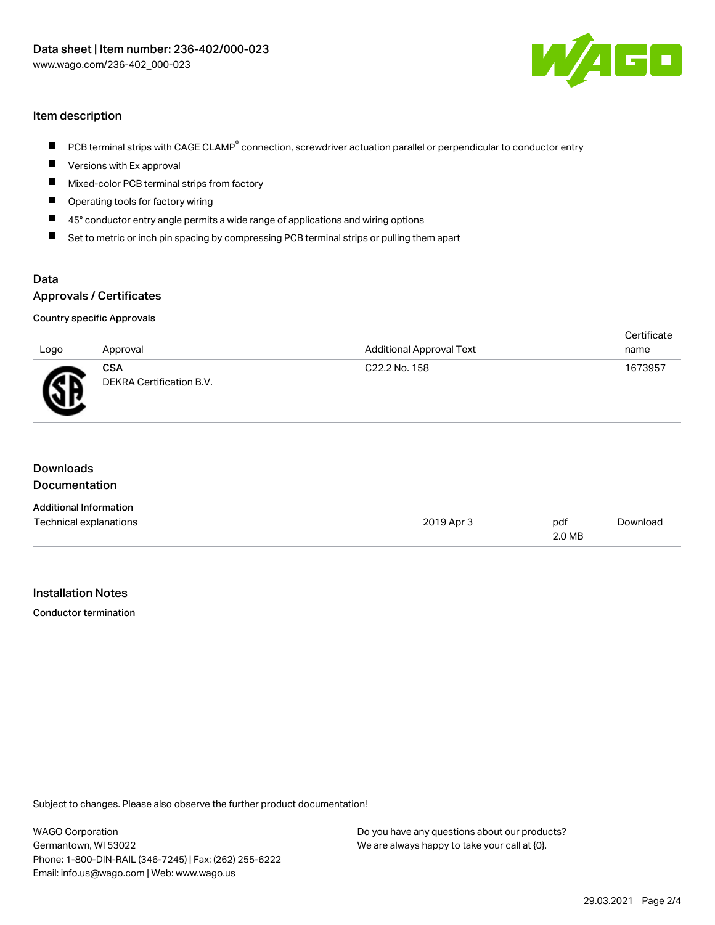

## Item description

- PCB terminal strips with CAGE CLAMP<sup>®</sup> connection, screwdriver actuation parallel or perpendicular to conductor entry
- $\blacksquare$ Versions with Ex approval
- $\blacksquare$ Mixed-color PCB terminal strips from factory
- Operating tools for factory wiring П
- $\blacksquare$ 45° conductor entry angle permits a wide range of applications and wiring options
- $\blacksquare$ Set to metric or inch pin spacing by compressing PCB terminal strips or pulling them apart

### Data Approvals / Certificates

# Country specific Approvals

| Logo | Approval                               | <b>Additional Approval Text</b> | Certificate<br>name |
|------|----------------------------------------|---------------------------------|---------------------|
| AR   | <b>CSA</b><br>DEKRA Certification B.V. | C22.2 No. 158                   | 1673957             |

| Downloads<br><b>Documentation</b> |            |               |          |
|-----------------------------------|------------|---------------|----------|
| <b>Additional Information</b>     |            |               |          |
| Technical explanations            | 2019 Apr 3 | pdf<br>2.0 MB | Download |

#### Installation Notes

Conductor termination

Subject to changes. Please also observe the further product documentation!

WAGO Corporation Germantown, WI 53022 Phone: 1-800-DIN-RAIL (346-7245) | Fax: (262) 255-6222 Email: info.us@wago.com | Web: www.wago.us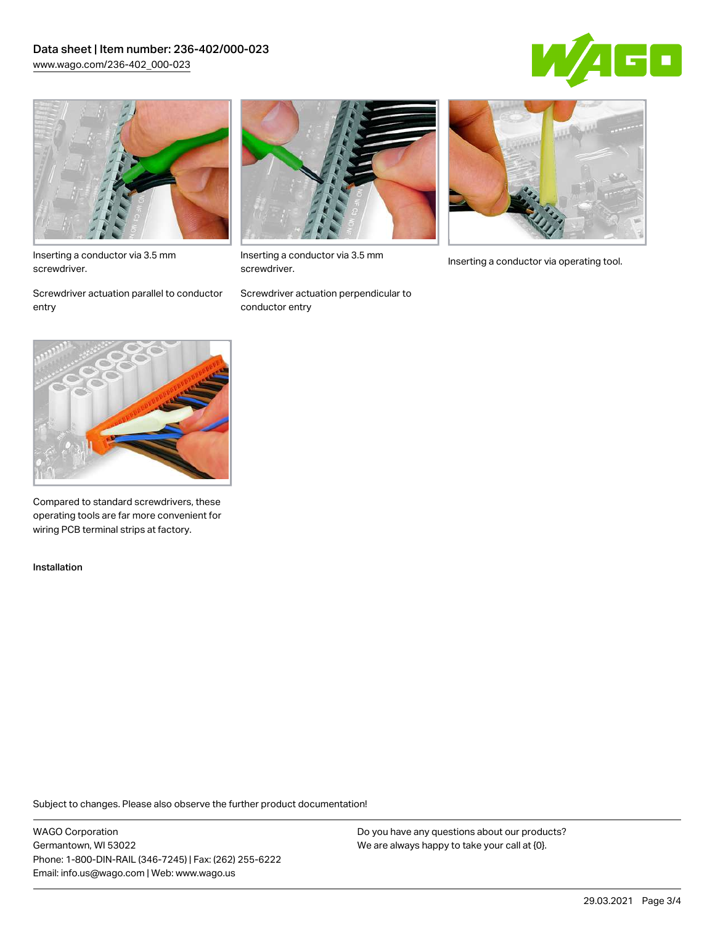## Data sheet | Item number: 236-402/000-023 [www.wago.com/236-402\\_000-023](http://www.wago.com/236-402_000-023)





Inserting a conductor via 3.5 mm screwdriver.

Screwdriver actuation parallel to conductor entry



Inserting a conductor via 3.5 mm<br>Inserting a conductor via operating tool. screwdriver.

Screwdriver actuation perpendicular to conductor entry





Compared to standard screwdrivers, these operating tools are far more convenient for wiring PCB terminal strips at factory.

Installation

Subject to changes. Please also observe the further product documentation!

WAGO Corporation Germantown, WI 53022 Phone: 1-800-DIN-RAIL (346-7245) | Fax: (262) 255-6222 Email: info.us@wago.com | Web: www.wago.us